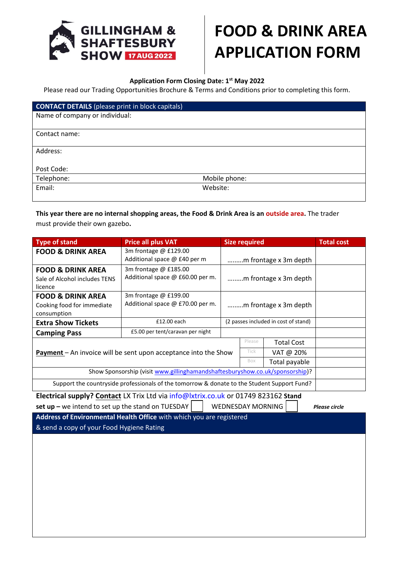

# **FOOD & DRINK AREA APPLICATION FORM**

#### **Application Form Closing Date: 1st May 2022**

Please read our Trading Opportunities Brochure & Terms and Conditions prior to completing this form.

| <b>CONTACT DETAILS</b> (please print in block capitals) |               |
|---------------------------------------------------------|---------------|
| Name of company or individual:                          |               |
|                                                         |               |
| Contact name:                                           |               |
|                                                         |               |
| Address:                                                |               |
|                                                         |               |
| Post Code:                                              |               |
| Telephone:                                              | Mobile phone: |
| Email:                                                  | Website:      |
|                                                         |               |

## **This year there are no internal shopping areas, the Food & Drink Area is an outside area.** The trader must provide their own gazebo**.**

| <b>Type of stand</b>                                                                                                                               | <b>Price all plus VAT</b>                                 | <b>Size required</b>                 |  |  | <b>Total cost</b> |
|----------------------------------------------------------------------------------------------------------------------------------------------------|-----------------------------------------------------------|--------------------------------------|--|--|-------------------|
| <b>FOOD &amp; DRINK AREA</b>                                                                                                                       | 3m frontage @ £129.00<br>Additional space @ £40 per m     | m frontage x 3m depth                |  |  |                   |
| <b>FOOD &amp; DRINK AREA</b><br>Sale of Alcohol includes TENS<br>licence                                                                           | 3m frontage @ £185.00<br>Additional space @ £60.00 per m. | m frontage x 3m depth                |  |  |                   |
| <b>FOOD &amp; DRINK AREA</b><br>Cooking food for immediate<br>consumption                                                                          | 3m frontage @ £199.00<br>Additional space @ £70.00 per m. | m frontage x 3m depth                |  |  |                   |
| <b>Extra Show Tickets</b>                                                                                                                          | £12.00 each                                               | (2 passes included in cost of stand) |  |  |                   |
| <b>Camping Pass</b>                                                                                                                                | £5.00 per tent/caravan per night                          |                                      |  |  |                   |
| Please<br><b>Total Cost</b><br>Tick<br><b>Payment</b> – An invoice will be sent upon acceptance into the Show<br>VAT @ 20%<br>Box<br>Total payable |                                                           |                                      |  |  |                   |
| Show Sponsorship (visit www.gillinghamandshaftesburyshow.co.uk/sponsorship)?                                                                       |                                                           |                                      |  |  |                   |
| Support the countryside professionals of the tomorrow & donate to the Student Support Fund?                                                        |                                                           |                                      |  |  |                   |
| Electrical supply? Contact LX Trix Ltd via info@lxtrix.co.uk or 01749 823162 Stand                                                                 |                                                           |                                      |  |  |                   |

**set up –** we intend to set up the stand on TUESDAY / WEDNESDAY MORNING*Please circle*

**Address of Environmental Health Office** with which you are registered & send a copy of your Food Hygiene Rating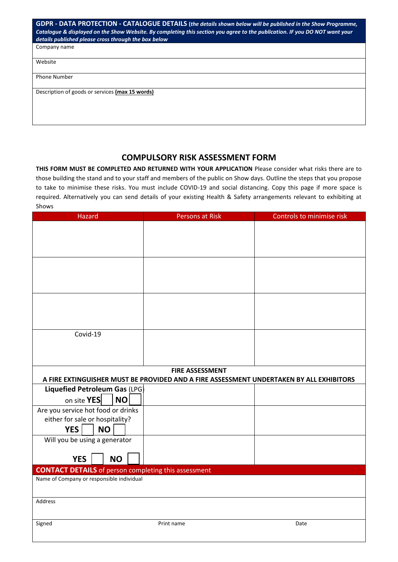| GDPR - DATA PROTECTION - CATALOGUE DETAILS (the details shown below will be published in the Show Programme,<br>Catalogue & displayed on the Show Website. By completing this section you agree to the publication. IF you DO NOT want your<br>details published please cross through the box below |
|-----------------------------------------------------------------------------------------------------------------------------------------------------------------------------------------------------------------------------------------------------------------------------------------------------|
| Company name                                                                                                                                                                                                                                                                                        |
| Website                                                                                                                                                                                                                                                                                             |
| <b>Phone Number</b>                                                                                                                                                                                                                                                                                 |
| Description of goods or services (max 15 words)                                                                                                                                                                                                                                                     |
|                                                                                                                                                                                                                                                                                                     |

### **COMPULSORY RISK ASSESSMENT FORM**

**THIS FORM MUST BE COMPLETED AND RETURNED WITH YOUR APPLICATION** Please consider what risks there are to those building the stand and to your staff and members of the public on Show days. Outline the steps that you propose to take to minimise these risks. You must include COVID-19 and social distancing. Copy this page if more space is required. Alternatively you can send details of your existing Health & Safety arrangements relevant to exhibiting at Shows

| Hazard                                                      | <b>Persons at Risk</b>                                                                  | Controls to minimise risk |
|-------------------------------------------------------------|-----------------------------------------------------------------------------------------|---------------------------|
|                                                             |                                                                                         |                           |
|                                                             |                                                                                         |                           |
|                                                             |                                                                                         |                           |
|                                                             |                                                                                         |                           |
|                                                             |                                                                                         |                           |
|                                                             |                                                                                         |                           |
|                                                             |                                                                                         |                           |
|                                                             |                                                                                         |                           |
|                                                             |                                                                                         |                           |
|                                                             |                                                                                         |                           |
| Covid-19                                                    |                                                                                         |                           |
|                                                             |                                                                                         |                           |
|                                                             |                                                                                         |                           |
|                                                             |                                                                                         |                           |
|                                                             | <b>FIRE ASSESSMENT</b>                                                                  |                           |
|                                                             | A FIRE EXTINGUISHER MUST BE PROVIDED AND A FIRE ASSESSMENT UNDERTAKEN BY ALL EXHIBITORS |                           |
| Liquefied Petroleum Gas (LPG)                               |                                                                                         |                           |
| on site YES<br><b>NO</b>                                    |                                                                                         |                           |
| Are you service hot food or drinks                          |                                                                                         |                           |
| either for sale or hospitality?                             |                                                                                         |                           |
| <b>YES</b><br><b>NO</b>                                     |                                                                                         |                           |
| Will you be using a generator                               |                                                                                         |                           |
|                                                             |                                                                                         |                           |
| <b>YES</b><br><b>NO</b>                                     |                                                                                         |                           |
| <b>CONTACT DETAILS</b> of person completing this assessment |                                                                                         |                           |
| Name of Company or responsible individual                   |                                                                                         |                           |
|                                                             |                                                                                         |                           |
| Address                                                     |                                                                                         |                           |
|                                                             |                                                                                         |                           |
| Signed                                                      | Print name                                                                              | Date                      |
|                                                             |                                                                                         |                           |